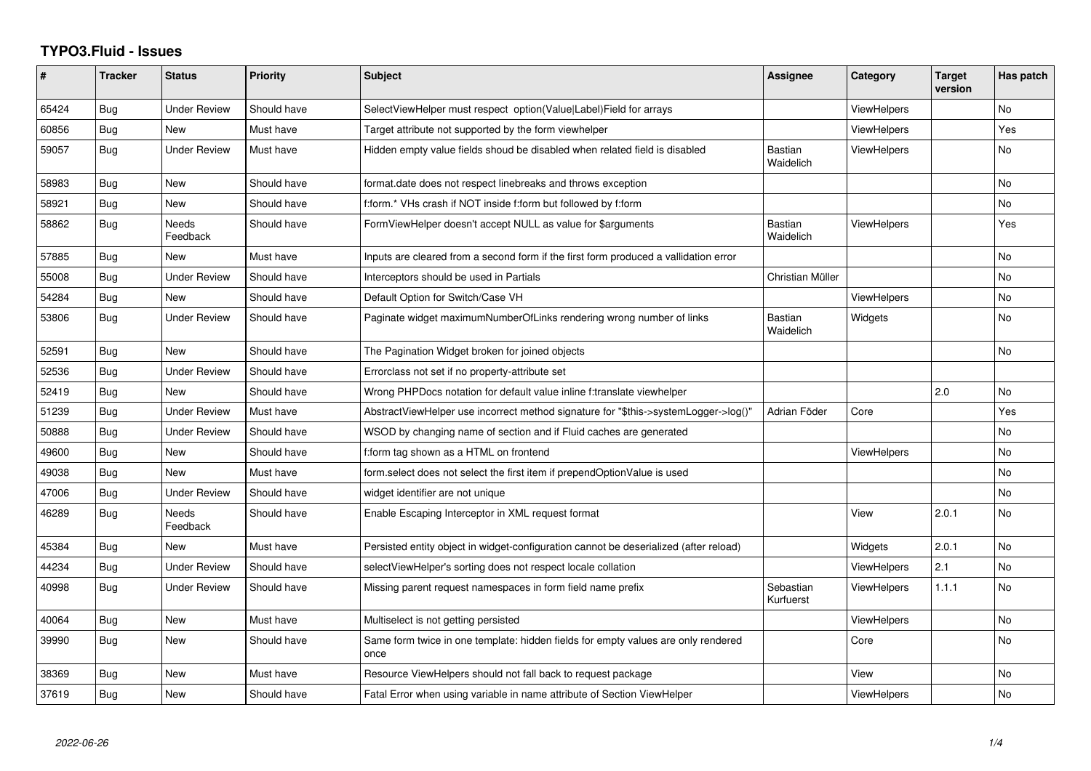## **TYPO3.Fluid - Issues**

| ∦     | <b>Tracker</b> | <b>Status</b>            | <b>Priority</b> | <b>Subject</b>                                                                            | Assignee                    | Category           | <b>Target</b><br>version | Has patch |
|-------|----------------|--------------------------|-----------------|-------------------------------------------------------------------------------------------|-----------------------------|--------------------|--------------------------|-----------|
| 65424 | Bug            | <b>Under Review</b>      | Should have     | SelectViewHelper must respect option(Value Label)Field for arrays                         |                             | ViewHelpers        |                          | <b>No</b> |
| 60856 | Bug            | New                      | Must have       | Target attribute not supported by the form viewhelper                                     |                             | <b>ViewHelpers</b> |                          | Yes       |
| 59057 | Bug            | <b>Under Review</b>      | Must have       | Hidden empty value fields shoud be disabled when related field is disabled                | <b>Bastian</b><br>Waidelich | ViewHelpers        |                          | No.       |
| 58983 | Bug            | <b>New</b>               | Should have     | format.date does not respect linebreaks and throws exception                              |                             |                    |                          | No        |
| 58921 | Bug            | New                      | Should have     | f:form.* VHs crash if NOT inside f:form but followed by f:form                            |                             |                    |                          | No        |
| 58862 | Bug            | <b>Needs</b><br>Feedback | Should have     | FormViewHelper doesn't accept NULL as value for \$arguments                               | <b>Bastian</b><br>Waidelich | ViewHelpers        |                          | Yes       |
| 57885 | Bug            | New                      | Must have       | Inputs are cleared from a second form if the first form produced a vallidation error      |                             |                    |                          | No.       |
| 55008 | Bug            | <b>Under Review</b>      | Should have     | Interceptors should be used in Partials                                                   | Christian Müller            |                    |                          | <b>No</b> |
| 54284 | Bug            | <b>New</b>               | Should have     | Default Option for Switch/Case VH                                                         |                             | <b>ViewHelpers</b> |                          | <b>No</b> |
| 53806 | Bug            | Under Review             | Should have     | Paginate widget maximumNumberOfLinks rendering wrong number of links                      | Bastian<br>Waidelich        | Widgets            |                          | <b>No</b> |
| 52591 | Bug            | New                      | Should have     | The Pagination Widget broken for joined objects                                           |                             |                    |                          | <b>No</b> |
| 52536 | Bug            | <b>Under Review</b>      | Should have     | Errorclass not set if no property-attribute set                                           |                             |                    |                          |           |
| 52419 | Bug            | New                      | Should have     | Wrong PHPDocs notation for default value inline f:translate viewhelper                    |                             |                    | 2.0                      | <b>No</b> |
| 51239 | <b>Bug</b>     | <b>Under Review</b>      | Must have       | AbstractViewHelper use incorrect method signature for "\$this->systemLogger->log()"       | Adrian Föder                | Core               |                          | Yes       |
| 50888 | Bug            | <b>Under Review</b>      | Should have     | WSOD by changing name of section and if Fluid caches are generated                        |                             |                    |                          | No        |
| 49600 | Bug            | New                      | Should have     | f:form tag shown as a HTML on frontend                                                    |                             | ViewHelpers        |                          | No        |
| 49038 | Bug            | New                      | Must have       | form.select does not select the first item if prependOptionValue is used                  |                             |                    |                          | <b>No</b> |
| 47006 | Bug            | Under Review             | Should have     | widget identifier are not unique                                                          |                             |                    |                          | <b>No</b> |
| 46289 | <b>Bug</b>     | Needs<br>Feedback        | Should have     | Enable Escaping Interceptor in XML request format                                         |                             | View               | 2.0.1                    | <b>No</b> |
| 45384 | Bug            | New                      | Must have       | Persisted entity object in widget-configuration cannot be deserialized (after reload)     |                             | Widgets            | 2.0.1                    | <b>No</b> |
| 44234 | <b>Bug</b>     | <b>Under Review</b>      | Should have     | selectViewHelper's sorting does not respect locale collation                              |                             | ViewHelpers        | 2.1                      | No        |
| 40998 | Bug            | <b>Under Review</b>      | Should have     | Missing parent request namespaces in form field name prefix                               | Sebastian<br>Kurfuerst      | ViewHelpers        | 1.1.1                    | <b>No</b> |
| 40064 | Bug            | New                      | Must have       | Multiselect is not getting persisted                                                      |                             | <b>ViewHelpers</b> |                          | <b>No</b> |
| 39990 | Bug            | New                      | Should have     | Same form twice in one template: hidden fields for empty values are only rendered<br>once |                             | Core               |                          | <b>No</b> |
| 38369 | Bug            | New                      | Must have       | Resource ViewHelpers should not fall back to request package                              |                             | View               |                          | No        |
| 37619 | <b>Bug</b>     | <b>New</b>               | Should have     | Fatal Error when using variable in name attribute of Section ViewHelper                   |                             | <b>ViewHelpers</b> |                          | No.       |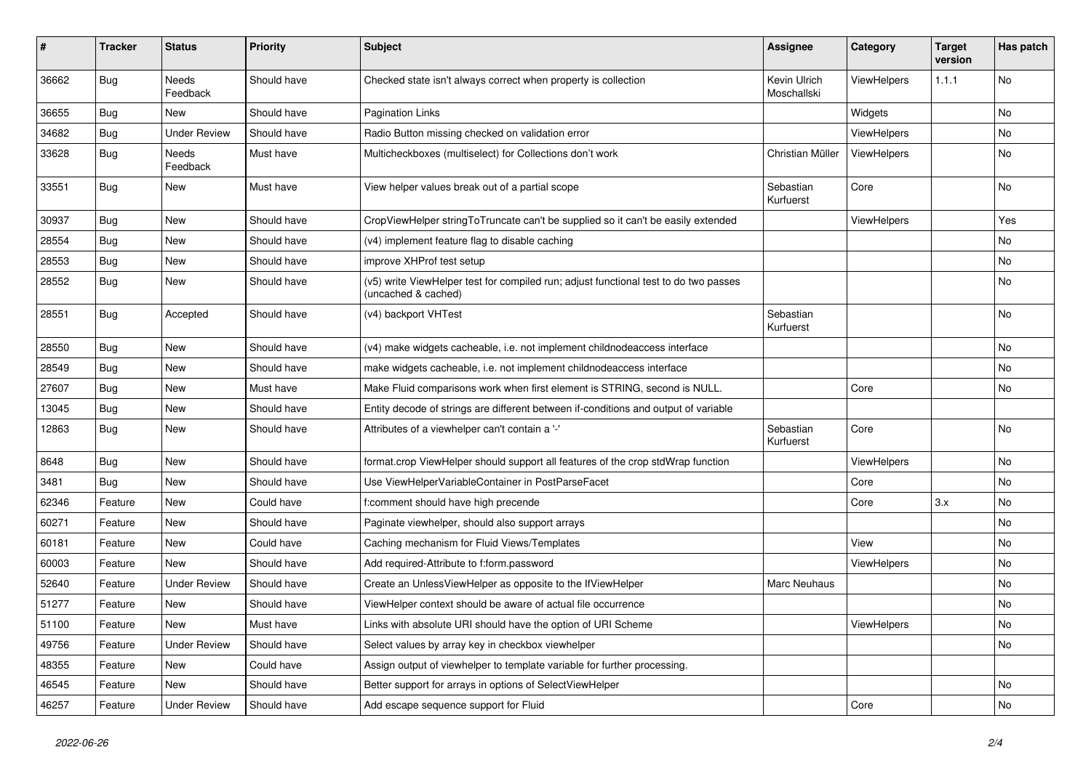| ∦     | <b>Tracker</b> | <b>Status</b>            | <b>Priority</b> | Subject                                                                                                     | <b>Assignee</b>             | Category    | <b>Target</b><br>version | Has patch |
|-------|----------------|--------------------------|-----------------|-------------------------------------------------------------------------------------------------------------|-----------------------------|-------------|--------------------------|-----------|
| 36662 | Bug            | <b>Needs</b><br>Feedback | Should have     | Checked state isn't always correct when property is collection                                              | Kevin Ulrich<br>Moschallski | ViewHelpers | 1.1.1                    | No        |
| 36655 | Bug            | New                      | Should have     | Pagination Links                                                                                            |                             | Widgets     |                          | No        |
| 34682 | Bug            | <b>Under Review</b>      | Should have     | Radio Button missing checked on validation error                                                            |                             | ViewHelpers |                          | No        |
| 33628 | Bug            | Needs<br>Feedback        | Must have       | Multicheckboxes (multiselect) for Collections don't work                                                    | Christian Müller            | ViewHelpers |                          | No        |
| 33551 | <b>Bug</b>     | New                      | Must have       | View helper values break out of a partial scope                                                             | Sebastian<br>Kurfuerst      | Core        |                          | No        |
| 30937 | Bug            | <b>New</b>               | Should have     | CropViewHelper stringToTruncate can't be supplied so it can't be easily extended                            |                             | ViewHelpers |                          | Yes       |
| 28554 | Bug            | New                      | Should have     | (v4) implement feature flag to disable caching                                                              |                             |             |                          | No        |
| 28553 | Bug            | New                      | Should have     | improve XHProf test setup                                                                                   |                             |             |                          | No        |
| 28552 | Bug            | New                      | Should have     | (v5) write ViewHelper test for compiled run; adjust functional test to do two passes<br>(uncached & cached) |                             |             |                          | No        |
| 28551 | Bug            | Accepted                 | Should have     | (v4) backport VHTest                                                                                        | Sebastian<br>Kurfuerst      |             |                          | No        |
| 28550 | Bug            | New                      | Should have     | (v4) make widgets cacheable, i.e. not implement childnodeaccess interface                                   |                             |             |                          | No        |
| 28549 | Bug            | <b>New</b>               | Should have     | make widgets cacheable, i.e. not implement childnodeaccess interface                                        |                             |             |                          | No.       |
| 27607 | Bug            | New                      | Must have       | Make Fluid comparisons work when first element is STRING, second is NULL.                                   |                             | Core        |                          | No        |
| 13045 | Bug            | New                      | Should have     | Entity decode of strings are different between if-conditions and output of variable                         |                             |             |                          |           |
| 12863 | Bug            | New                      | Should have     | Attributes of a viewhelper can't contain a '-'                                                              | Sebastian<br>Kurfuerst      | Core        |                          | No        |
| 8648  | Bug            | New                      | Should have     | format.crop ViewHelper should support all features of the crop stdWrap function                             |                             | ViewHelpers |                          | No        |
| 3481  | Bug            | New                      | Should have     | Use ViewHelperVariableContainer in PostParseFacet                                                           |                             | Core        |                          | No        |
| 62346 | Feature        | New                      | Could have      | f:comment should have high precende                                                                         |                             | Core        | 3.x                      | No        |
| 60271 | Feature        | New                      | Should have     | Paginate viewhelper, should also support arrays                                                             |                             |             |                          | No        |
| 60181 | Feature        | New                      | Could have      | Caching mechanism for Fluid Views/Templates                                                                 |                             | View        |                          | No        |
| 60003 | Feature        | New                      | Should have     | Add required-Attribute to f:form.password                                                                   |                             | ViewHelpers |                          | No        |
| 52640 | Feature        | <b>Under Review</b>      | Should have     | Create an UnlessViewHelper as opposite to the IfViewHelper                                                  | <b>Marc Neuhaus</b>         |             |                          | No        |
| 51277 | Feature        | New                      | Should have     | ViewHelper context should be aware of actual file occurrence                                                |                             |             |                          | No        |
| 51100 | Feature        | New                      | Must have       | Links with absolute URI should have the option of URI Scheme                                                |                             | ViewHelpers |                          | No        |
| 49756 | Feature        | <b>Under Review</b>      | Should have     | Select values by array key in checkbox viewhelper                                                           |                             |             |                          | No        |
| 48355 | Feature        | New                      | Could have      | Assign output of viewhelper to template variable for further processing.                                    |                             |             |                          |           |
| 46545 | Feature        | New                      | Should have     | Better support for arrays in options of SelectViewHelper                                                    |                             |             |                          | No        |
| 46257 | Feature        | <b>Under Review</b>      | Should have     | Add escape sequence support for Fluid                                                                       |                             | Core        |                          | No        |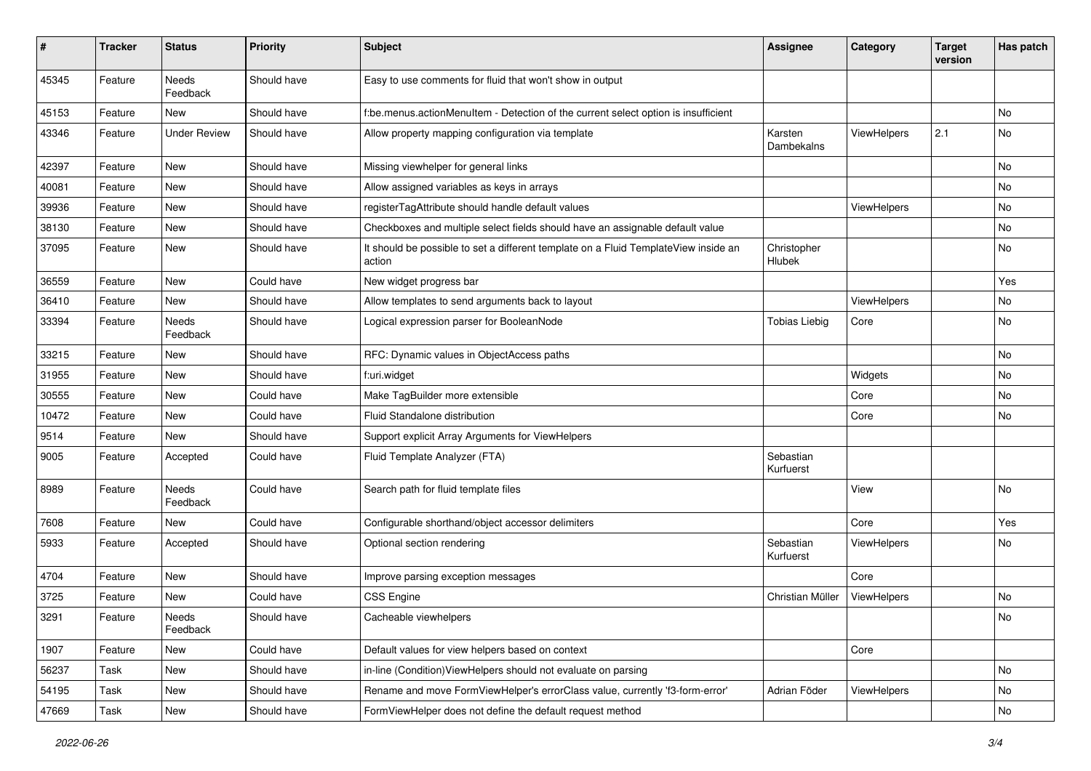| $\sharp$ | <b>Tracker</b> | <b>Status</b>       | <b>Priority</b> | <b>Subject</b>                                                                                | Assignee               | Category    | <b>Target</b><br>version | Has patch |
|----------|----------------|---------------------|-----------------|-----------------------------------------------------------------------------------------------|------------------------|-------------|--------------------------|-----------|
| 45345    | Feature        | Needs<br>Feedback   | Should have     | Easy to use comments for fluid that won't show in output                                      |                        |             |                          |           |
| 45153    | Feature        | New                 | Should have     | f:be.menus.actionMenuItem - Detection of the current select option is insufficient            |                        |             |                          | No        |
| 43346    | Feature        | <b>Under Review</b> | Should have     | Allow property mapping configuration via template                                             | Karsten<br>Dambekalns  | ViewHelpers | 2.1                      | No        |
| 42397    | Feature        | <b>New</b>          | Should have     | Missing viewhelper for general links                                                          |                        |             |                          | <b>No</b> |
| 40081    | Feature        | New                 | Should have     | Allow assigned variables as keys in arrays                                                    |                        |             |                          | No        |
| 39936    | Feature        | New                 | Should have     | registerTagAttribute should handle default values                                             |                        | ViewHelpers |                          | No        |
| 38130    | Feature        | New                 | Should have     | Checkboxes and multiple select fields should have an assignable default value                 |                        |             |                          | No        |
| 37095    | Feature        | New                 | Should have     | It should be possible to set a different template on a Fluid TemplateView inside an<br>action | Christopher<br>Hlubek  |             |                          | No        |
| 36559    | Feature        | New                 | Could have      | New widget progress bar                                                                       |                        |             |                          | Yes       |
| 36410    | Feature        | New                 | Should have     | Allow templates to send arguments back to layout                                              |                        | ViewHelpers |                          | No        |
| 33394    | Feature        | Needs<br>Feedback   | Should have     | Logical expression parser for BooleanNode                                                     | <b>Tobias Liebig</b>   | Core        |                          | No        |
| 33215    | Feature        | New                 | Should have     | RFC: Dynamic values in ObjectAccess paths                                                     |                        |             |                          | No        |
| 31955    | Feature        | New                 | Should have     | f:uri.widget                                                                                  |                        | Widgets     |                          | No        |
| 30555    | Feature        | New                 | Could have      | Make TagBuilder more extensible                                                               |                        | Core        |                          | No        |
| 10472    | Feature        | New                 | Could have      | Fluid Standalone distribution                                                                 |                        | Core        |                          | No        |
| 9514     | Feature        | New                 | Should have     | Support explicit Array Arguments for ViewHelpers                                              |                        |             |                          |           |
| 9005     | Feature        | Accepted            | Could have      | Fluid Template Analyzer (FTA)                                                                 | Sebastian<br>Kurfuerst |             |                          |           |
| 8989     | Feature        | Needs<br>Feedback   | Could have      | Search path for fluid template files                                                          |                        | View        |                          | <b>No</b> |
| 7608     | Feature        | New                 | Could have      | Configurable shorthand/object accessor delimiters                                             |                        | Core        |                          | Yes       |
| 5933     | Feature        | Accepted            | Should have     | Optional section rendering                                                                    | Sebastian<br>Kurfuerst | ViewHelpers |                          | No        |
| 4704     | Feature        | New                 | Should have     | Improve parsing exception messages                                                            |                        | Core        |                          |           |
| 3725     | Feature        | New                 | Could have      | CSS Engine                                                                                    | Christian Müller       | ViewHelpers |                          | No        |
| 3291     | Feature        | Needs<br>Feedback   | Should have     | Cacheable viewhelpers                                                                         |                        |             |                          | No        |
| 1907     | Feature        | New                 | Could have      | Default values for view helpers based on context                                              |                        | Core        |                          |           |
| 56237    | Task           | New                 | Should have     | in-line (Condition)ViewHelpers should not evaluate on parsing                                 |                        |             |                          | No        |
| 54195    | Task           | New                 | Should have     | Rename and move FormViewHelper's errorClass value, currently 'f3-form-error'                  | Adrian Föder           | ViewHelpers |                          | No        |
| 47669    | Task           | New                 | Should have     | FormViewHelper does not define the default request method                                     |                        |             |                          | No        |